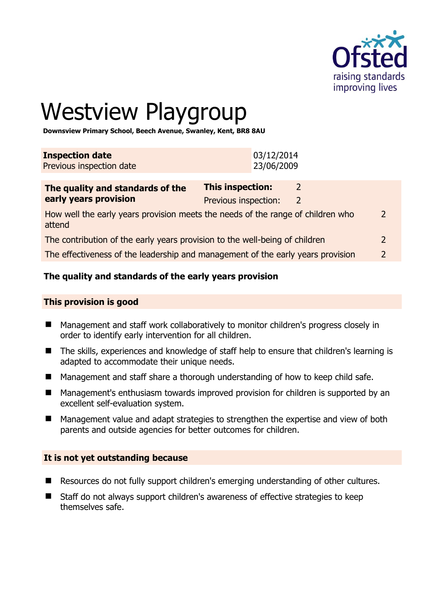

# Westview Playgroup

**Downsview Primary School, Beech Avenue, Swanley, Kent, BR8 8AU** 

| <b>Inspection date</b>   | 03/12/2014<br>23/06/2009 |  |
|--------------------------|--------------------------|--|
| Previous inspection date |                          |  |

| The quality and standards of the                                                          | This inspection:     |               |
|-------------------------------------------------------------------------------------------|----------------------|---------------|
| early years provision                                                                     | Previous inspection: |               |
| How well the early years provision meets the needs of the range of children who<br>attend |                      | $\mathcal{L}$ |
| The contribution of the early years provision to the well-being of children               |                      |               |
| The effectiveness of the leadership and management of the early years provision           |                      | $\mathcal{P}$ |

# **The quality and standards of the early years provision**

#### **This provision is good**

- Management and staff work collaboratively to monitor children's progress closely in order to identify early intervention for all children.
- The skills, experiences and knowledge of staff help to ensure that children's learning is adapted to accommodate their unique needs.
- Management and staff share a thorough understanding of how to keep child safe.
- Management's enthusiasm towards improved provision for children is supported by an excellent self-evaluation system.
- Management value and adapt strategies to strengthen the expertise and view of both parents and outside agencies for better outcomes for children.

#### **It is not yet outstanding because**

- Resources do not fully support children's emerging understanding of other cultures.
- Staff do not always support children's awareness of effective strategies to keep themselves safe.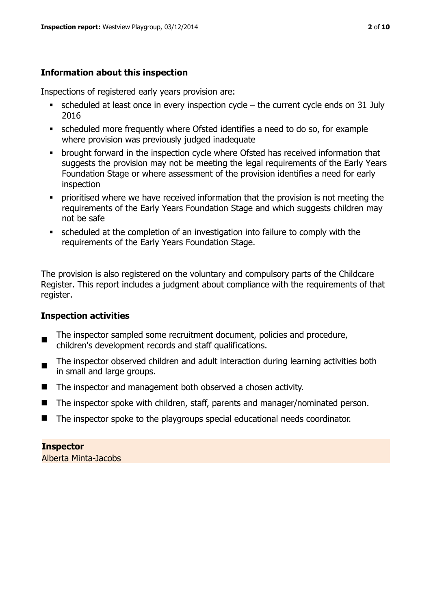# **Information about this inspection**

Inspections of registered early years provision are:

- scheduled at least once in every inspection cycle the current cycle ends on 31 July 2016
- scheduled more frequently where Ofsted identifies a need to do so, for example where provision was previously judged inadequate
- **•** brought forward in the inspection cycle where Ofsted has received information that suggests the provision may not be meeting the legal requirements of the Early Years Foundation Stage or where assessment of the provision identifies a need for early inspection
- **•** prioritised where we have received information that the provision is not meeting the requirements of the Early Years Foundation Stage and which suggests children may not be safe
- scheduled at the completion of an investigation into failure to comply with the requirements of the Early Years Foundation Stage.

The provision is also registered on the voluntary and compulsory parts of the Childcare Register. This report includes a judgment about compliance with the requirements of that register.

# **Inspection activities**

- п The inspector sampled some recruitment document, policies and procedure, children's development records and staff qualifications.
- The inspector observed children and adult interaction during learning activities both in small and large groups.
- The inspector and management both observed a chosen activity.
- The inspector spoke with children, staff, parents and manager/nominated person.
- The inspector spoke to the playgroups special educational needs coordinator.

**Inspector**  Alberta Minta-Jacobs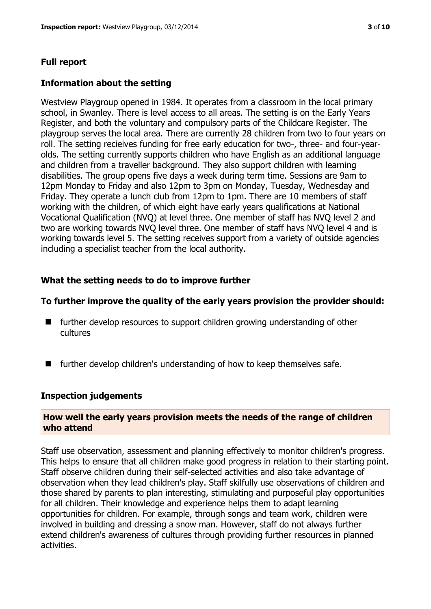### **Full report**

#### **Information about the setting**

Westview Playgroup opened in 1984. It operates from a classroom in the local primary school, in Swanley. There is level access to all areas. The setting is on the Early Years Register, and both the voluntary and compulsory parts of the Childcare Register. The playgroup serves the local area. There are currently 28 children from two to four years on roll. The setting recieives funding for free early education for two-, three- and four-yearolds. The setting currently supports children who have English as an additional language and children from a traveller background. They also support children with learning disabilities. The group opens five days a week during term time. Sessions are 9am to 12pm Monday to Friday and also 12pm to 3pm on Monday, Tuesday, Wednesday and Friday. They operate a lunch club from 12pm to 1pm. There are 10 members of staff working with the children, of which eight have early years qualifications at National Vocational Qualification (NVQ) at level three. One member of staff has NVQ level 2 and two are working towards NVQ level three. One member of staff havs NVQ level 4 and is working towards level 5. The setting receives support from a variety of outside agencies including a specialist teacher from the local authority.

#### **What the setting needs to do to improve further**

#### **To further improve the quality of the early years provision the provider should:**

- $\blacksquare$  further develop resources to support children growing understanding of other cultures
- $\blacksquare$  further develop children's understanding of how to keep themselves safe.

#### **Inspection judgements**

#### **How well the early years provision meets the needs of the range of children who attend**

Staff use observation, assessment and planning effectively to monitor children's progress. This helps to ensure that all children make good progress in relation to their starting point. Staff observe children during their self-selected activities and also take advantage of observation when they lead children's play. Staff skilfully use observations of children and those shared by parents to plan interesting, stimulating and purposeful play opportunities for all children. Their knowledge and experience helps them to adapt learning opportunities for children. For example, through songs and team work, children were involved in building and dressing a snow man. However, staff do not always further extend children's awareness of cultures through providing further resources in planned activities.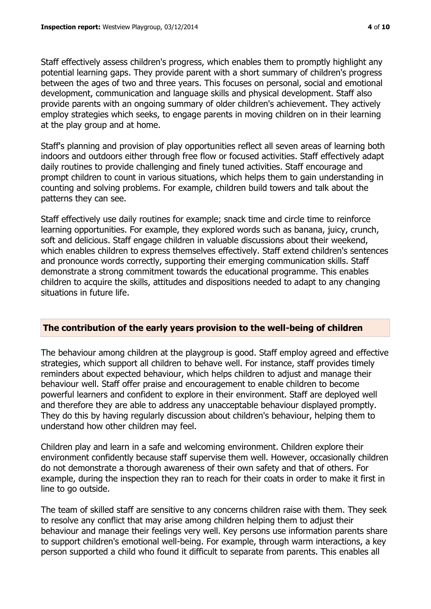Staff effectively assess children's progress, which enables them to promptly highlight any potential learning gaps. They provide parent with a short summary of children's progress between the ages of two and three years. This focuses on personal, social and emotional development, communication and language skills and physical development. Staff also provide parents with an ongoing summary of older children's achievement. They actively employ strategies which seeks, to engage parents in moving children on in their learning at the play group and at home.

Staff's planning and provision of play opportunities reflect all seven areas of learning both indoors and outdoors either through free flow or focused activities. Staff effectively adapt daily routines to provide challenging and finely tuned activities. Staff encourage and prompt children to count in various situations, which helps them to gain understanding in counting and solving problems. For example, children build towers and talk about the patterns they can see.

Staff effectively use daily routines for example; snack time and circle time to reinforce learning opportunities. For example, they explored words such as banana, juicy, crunch, soft and delicious. Staff engage children in valuable discussions about their weekend, which enables children to express themselves effectively. Staff extend children's sentences and pronounce words correctly, supporting their emerging communication skills. Staff demonstrate a strong commitment towards the educational programme. This enables children to acquire the skills, attitudes and dispositions needed to adapt to any changing situations in future life.

#### **The contribution of the early years provision to the well-being of children**

The behaviour among children at the playgroup is good. Staff employ agreed and effective strategies, which support all children to behave well. For instance, staff provides timely reminders about expected behaviour, which helps children to adjust and manage their behaviour well. Staff offer praise and encouragement to enable children to become powerful learners and confident to explore in their environment. Staff are deployed well and therefore they are able to address any unacceptable behaviour displayed promptly. They do this by having regularly discussion about children's behaviour, helping them to understand how other children may feel.

Children play and learn in a safe and welcoming environment. Children explore their environment confidently because staff supervise them well. However, occasionally children do not demonstrate a thorough awareness of their own safety and that of others. For example, during the inspection they ran to reach for their coats in order to make it first in line to go outside.

The team of skilled staff are sensitive to any concerns children raise with them. They seek to resolve any conflict that may arise among children helping them to adjust their behaviour and manage their feelings very well. Key persons use information parents share to support children's emotional well-being. For example, through warm interactions, a key person supported a child who found it difficult to separate from parents. This enables all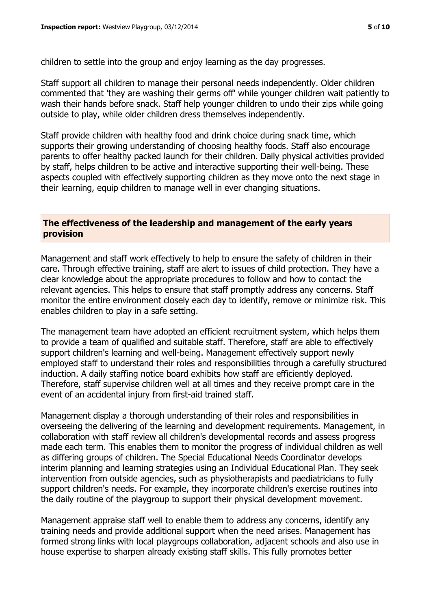children to settle into the group and enjoy learning as the day progresses.

Staff support all children to manage their personal needs independently. Older children commented that 'they are washing their germs off' while younger children wait patiently to wash their hands before snack. Staff help younger children to undo their zips while going outside to play, while older children dress themselves independently.

Staff provide children with healthy food and drink choice during snack time, which supports their growing understanding of choosing healthy foods. Staff also encourage parents to offer healthy packed launch for their children. Daily physical activities provided by staff, helps children to be active and interactive supporting their well-being. These aspects coupled with effectively supporting children as they move onto the next stage in their learning, equip children to manage well in ever changing situations.

#### **The effectiveness of the leadership and management of the early years provision**

Management and staff work effectively to help to ensure the safety of children in their care. Through effective training, staff are alert to issues of child protection. They have a clear knowledge about the appropriate procedures to follow and how to contact the relevant agencies. This helps to ensure that staff promptly address any concerns. Staff monitor the entire environment closely each day to identify, remove or minimize risk. This enables children to play in a safe setting.

The management team have adopted an efficient recruitment system, which helps them to provide a team of qualified and suitable staff. Therefore, staff are able to effectively support children's learning and well-being. Management effectively support newly employed staff to understand their roles and responsibilities through a carefully structured induction. A daily staffing notice board exhibits how staff are efficiently deployed. Therefore, staff supervise children well at all times and they receive prompt care in the event of an accidental injury from first-aid trained staff.

Management display a thorough understanding of their roles and responsibilities in overseeing the delivering of the learning and development requirements. Management, in collaboration with staff review all children's developmental records and assess progress made each term. This enables them to monitor the progress of individual children as well as differing groups of children. The Special Educational Needs Coordinator develops interim planning and learning strategies using an Individual Educational Plan. They seek intervention from outside agencies, such as physiotherapists and paediatricians to fully support children's needs. For example, they incorporate children's exercise routines into the daily routine of the playgroup to support their physical development movement.

Management appraise staff well to enable them to address any concerns, identify any training needs and provide additional support when the need arises. Management has formed strong links with local playgroups collaboration, adjacent schools and also use in house expertise to sharpen already existing staff skills. This fully promotes better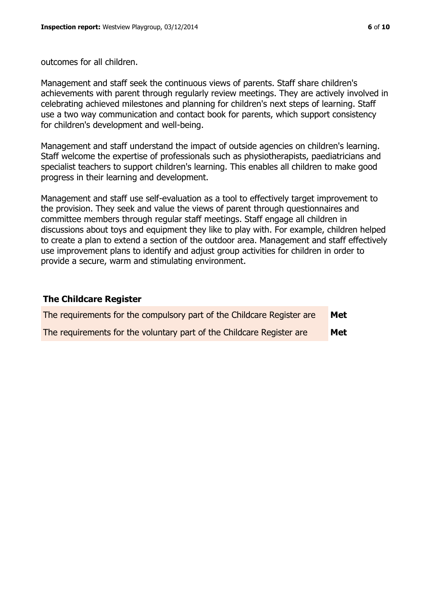outcomes for all children.

Management and staff seek the continuous views of parents. Staff share children's achievements with parent through regularly review meetings. They are actively involved in celebrating achieved milestones and planning for children's next steps of learning. Staff use a two way communication and contact book for parents, which support consistency for children's development and well-being.

Management and staff understand the impact of outside agencies on children's learning. Staff welcome the expertise of professionals such as physiotherapists, paediatricians and specialist teachers to support children's learning. This enables all children to make good progress in their learning and development.

Management and staff use self-evaluation as a tool to effectively target improvement to the provision. They seek and value the views of parent through questionnaires and committee members through regular staff meetings. Staff engage all children in discussions about toys and equipment they like to play with. For example, children helped to create a plan to extend a section of the outdoor area. Management and staff effectively use improvement plans to identify and adjust group activities for children in order to provide a secure, warm and stimulating environment.

#### **The Childcare Register**

| The requirements for the compulsory part of the Childcare Register are | Met |
|------------------------------------------------------------------------|-----|
| The requirements for the voluntary part of the Childcare Register are  | Met |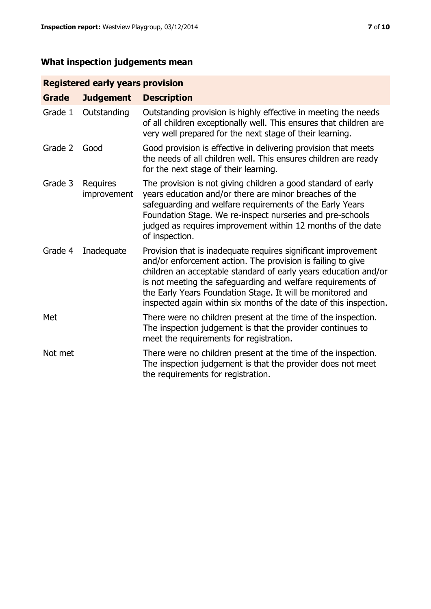# **What inspection judgements mean**

# **Registered early years provision**

| <b>Grade</b> | <b>Judgement</b>               | <b>Description</b>                                                                                                                                                                                                                                                                                                                                                                                |
|--------------|--------------------------------|---------------------------------------------------------------------------------------------------------------------------------------------------------------------------------------------------------------------------------------------------------------------------------------------------------------------------------------------------------------------------------------------------|
| Grade 1      | Outstanding                    | Outstanding provision is highly effective in meeting the needs<br>of all children exceptionally well. This ensures that children are<br>very well prepared for the next stage of their learning.                                                                                                                                                                                                  |
| Grade 2      | Good                           | Good provision is effective in delivering provision that meets<br>the needs of all children well. This ensures children are ready<br>for the next stage of their learning.                                                                                                                                                                                                                        |
| Grade 3      | <b>Requires</b><br>improvement | The provision is not giving children a good standard of early<br>years education and/or there are minor breaches of the<br>safeguarding and welfare requirements of the Early Years<br>Foundation Stage. We re-inspect nurseries and pre-schools<br>judged as requires improvement within 12 months of the date<br>of inspection.                                                                 |
| Grade 4      | Inadequate                     | Provision that is inadequate requires significant improvement<br>and/or enforcement action. The provision is failing to give<br>children an acceptable standard of early years education and/or<br>is not meeting the safeguarding and welfare requirements of<br>the Early Years Foundation Stage. It will be monitored and<br>inspected again within six months of the date of this inspection. |
| Met          |                                | There were no children present at the time of the inspection.<br>The inspection judgement is that the provider continues to<br>meet the requirements for registration.                                                                                                                                                                                                                            |
| Not met      |                                | There were no children present at the time of the inspection.<br>The inspection judgement is that the provider does not meet<br>the requirements for registration.                                                                                                                                                                                                                                |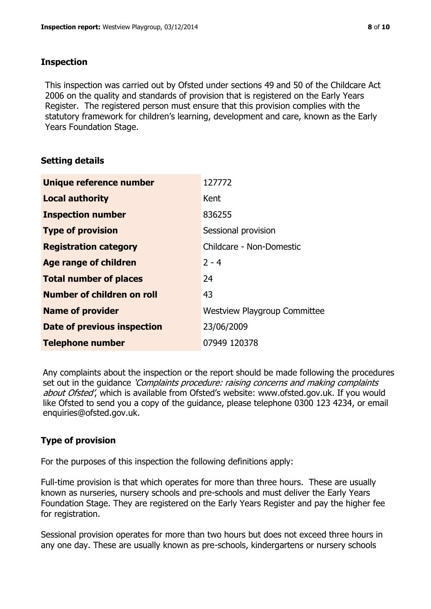### **Inspection**

This inspection was carried out by Ofsted under sections 49 and 50 of the Childcare Act 2006 on the quality and standards of provision that is registered on the Early Years Register. The registered person must ensure that this provision complies with the statutory framework for children's learning, development and care, known as the Early Years Foundation Stage.

# **Setting details**

| Unique reference number       | 127772                              |
|-------------------------------|-------------------------------------|
| <b>Local authority</b>        | Kent                                |
| <b>Inspection number</b>      | 836255                              |
| <b>Type of provision</b>      | Sessional provision                 |
| <b>Registration category</b>  | Childcare - Non-Domestic            |
| Age range of children         | $2 - 4$                             |
| <b>Total number of places</b> | 24                                  |
| Number of children on roll    | 43                                  |
| <b>Name of provider</b>       | <b>Westview Playgroup Committee</b> |
| Date of previous inspection   | 23/06/2009                          |
| <b>Telephone number</b>       | 07949 120378                        |

Any complaints about the inspection or the report should be made following the procedures set out in the guidance *'Complaints procedure: raising concerns and making complaints* about Ofsted', which is available from Ofsted's website: www.ofsted.gov.uk. If you would like Ofsted to send you a copy of the guidance, please telephone 0300 123 4234, or email enquiries@ofsted.gov.uk.

# **Type of provision**

For the purposes of this inspection the following definitions apply:

Full-time provision is that which operates for more than three hours. These are usually known as nurseries, nursery schools and pre-schools and must deliver the Early Years Foundation Stage. They are registered on the Early Years Register and pay the higher fee for registration.

Sessional provision operates for more than two hours but does not exceed three hours in any one day. These are usually known as pre-schools, kindergartens or nursery schools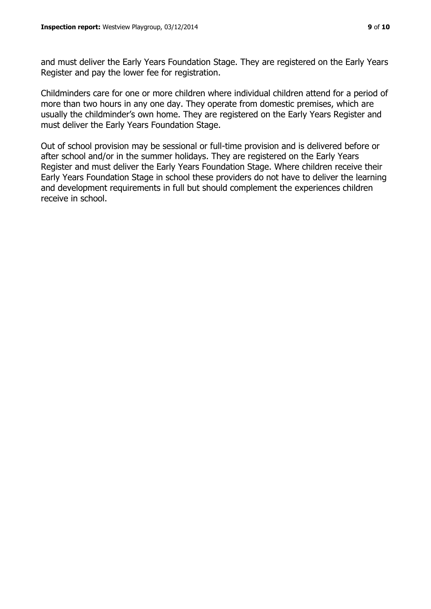and must deliver the Early Years Foundation Stage. They are registered on the Early Years Register and pay the lower fee for registration.

Childminders care for one or more children where individual children attend for a period of more than two hours in any one day. They operate from domestic premises, which are usually the childminder's own home. They are registered on the Early Years Register and must deliver the Early Years Foundation Stage.

Out of school provision may be sessional or full-time provision and is delivered before or after school and/or in the summer holidays. They are registered on the Early Years Register and must deliver the Early Years Foundation Stage. Where children receive their Early Years Foundation Stage in school these providers do not have to deliver the learning and development requirements in full but should complement the experiences children receive in school.